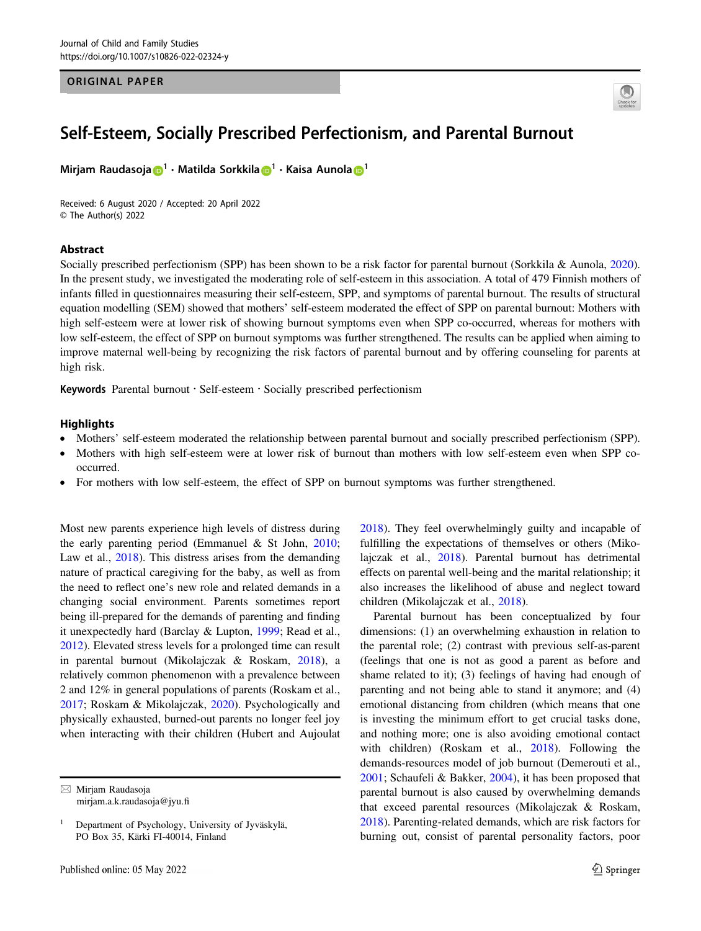#### ORIGINAL PAPER



# Self-Esteem, Socially Prescribed Perfectionism, and Parental Burnout

Miriam Raudasoja D<sup>[1](http://orcid.org/0000-0001-8866-6736)</sup> · Matilda Sorkkila D<sup>1</sup> · Kaisa Aunola D<sup>1</sup>

Received: 6 August 2020 / Accepted: 20 April 2022 © The Author(s) 2022

## Abstract

Socially prescribed perfectionism (SPP) has been shown to be a risk factor for parental burnout (Sorkkila & Aunola, [2020\)](#page-7-0). In the present study, we investigated the moderating role of self-esteem in this association. A total of 479 Finnish mothers of infants filled in questionnaires measuring their self-esteem, SPP, and symptoms of parental burnout. The results of structural equation modelling (SEM) showed that mothers' self-esteem moderated the effect of SPP on parental burnout: Mothers with high self-esteem were at lower risk of showing burnout symptoms even when SPP co-occurred, whereas for mothers with low self-esteem, the effect of SPP on burnout symptoms was further strengthened. The results can be applied when aiming to improve maternal well-being by recognizing the risk factors of parental burnout and by offering counseling for parents at high risk.

Keywords Parental burnout · Self-esteem · Socially prescribed perfectionism

#### **Highlights**

- Mothers' self-esteem moderated the relationship between parental burnout and socially prescribed perfectionism (SPP).
- Mothers with high self-esteem were at lower risk of burnout than mothers with low self-esteem even when SPP cooccurred.
- For mothers with low self-esteem, the effect of SPP on burnout symptoms was further strengthened.

Most new parents experience high levels of distress during the early parenting period (Emmanuel & St John, [2010](#page-6-0); Law et al., [2018](#page-6-0)). This distress arises from the demanding nature of practical caregiving for the baby, as well as from the need to reflect one's new role and related demands in a changing social environment. Parents sometimes report being ill-prepared for the demands of parenting and finding it unexpectedly hard (Barclay & Lupton, [1999;](#page-6-0) Read et al., [2012\)](#page-6-0). Elevated stress levels for a prolonged time can result in parental burnout (Mikolajczak & Roskam, [2018\)](#page-6-0), a relatively common phenomenon with a prevalence between 2 and 12% in general populations of parents (Roskam et al., [2017;](#page-7-0) Roskam & Mikolajczak, [2020](#page-7-0)). Psychologically and physically exhausted, burned-out parents no longer feel joy when interacting with their children (Hubert and Aujoulat [2018](#page-6-0)). They feel overwhelmingly guilty and incapable of fulfilling the expectations of themselves or others (Mikolajczak et al., [2018](#page-6-0)). Parental burnout has detrimental effects on parental well-being and the marital relationship; it also increases the likelihood of abuse and neglect toward children (Mikolajczak et al., [2018](#page-6-0)).

Parental burnout has been conceptualized by four dimensions: (1) an overwhelming exhaustion in relation to the parental role; (2) contrast with previous self-as-parent (feelings that one is not as good a parent as before and shame related to it); (3) feelings of having had enough of parenting and not being able to stand it anymore; and (4) emotional distancing from children (which means that one is investing the minimum effort to get crucial tasks done, and nothing more; one is also avoiding emotional contact with children) (Roskam et al., [2018](#page-7-0)). Following the demands-resources model of job burnout (Demerouti et al., [2001](#page-6-0); Schaufeli & Bakker, [2004](#page-7-0)), it has been proposed that parental burnout is also caused by overwhelming demands that exceed parental resources (Mikolajczak & Roskam, [2018](#page-6-0)). Parenting-related demands, which are risk factors for burning out, consist of parental personality factors, poor

 $\boxtimes$  Mirjam Raudasoja [mirjam.a.k.raudasoja@jyu.](mailto:mirjam.a.k.raudasoja@jyu.fi)fi

<sup>1</sup> Department of Psychology, University of Jyväskylä, PO Box 35, Kärki FI-40014, Finland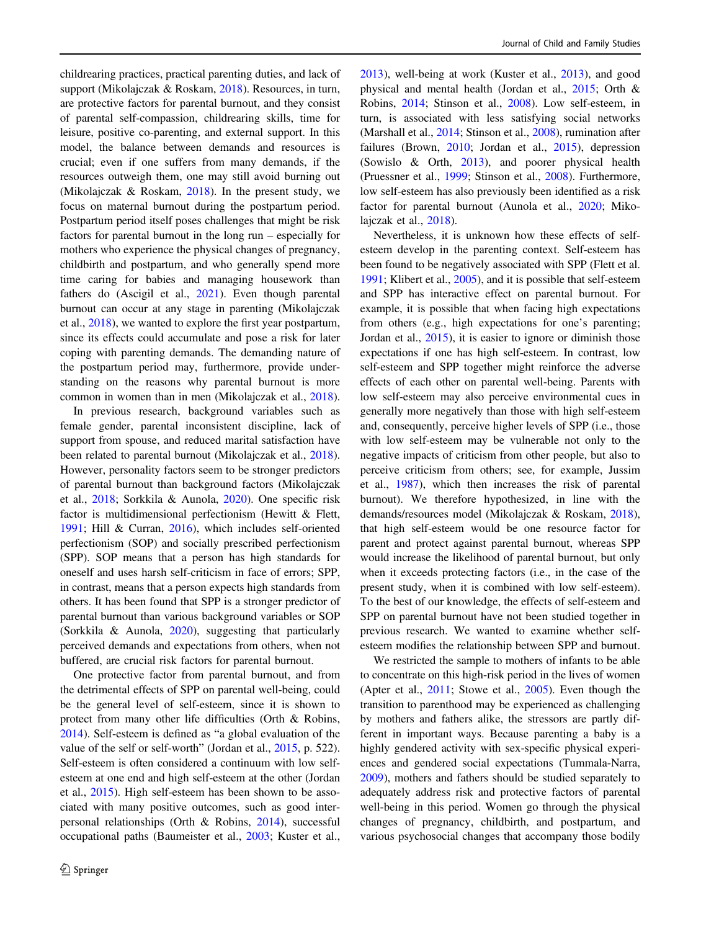childrearing practices, practical parenting duties, and lack of support (Mikolajczak & Roskam, [2018](#page-6-0)). Resources, in turn, are protective factors for parental burnout, and they consist of parental self-compassion, childrearing skills, time for leisure, positive co-parenting, and external support. In this model, the balance between demands and resources is crucial; even if one suffers from many demands, if the resources outweigh them, one may still avoid burning out (Mikolajczak & Roskam, [2018\)](#page-6-0). In the present study, we focus on maternal burnout during the postpartum period. Postpartum period itself poses challenges that might be risk factors for parental burnout in the long run – especially for mothers who experience the physical changes of pregnancy, childbirth and postpartum, and who generally spend more time caring for babies and managing housework than fathers do (Ascigil et al., [2021\)](#page-6-0). Even though parental burnout can occur at any stage in parenting (Mikolajczak et al., [2018](#page-6-0)), we wanted to explore the first year postpartum, since its effects could accumulate and pose a risk for later coping with parenting demands. The demanding nature of the postpartum period may, furthermore, provide understanding on the reasons why parental burnout is more common in women than in men (Mikolajczak et al., [2018](#page-6-0)).

In previous research, background variables such as female gender, parental inconsistent discipline, lack of support from spouse, and reduced marital satisfaction have been related to parental burnout (Mikolajczak et al., [2018](#page-6-0)). However, personality factors seem to be stronger predictors of parental burnout than background factors (Mikolajczak et al., [2018](#page-6-0); Sorkkila & Aunola, [2020\)](#page-7-0). One specific risk factor is multidimensional perfectionism (Hewitt & Flett, [1991;](#page-6-0) Hill & Curran, [2016\)](#page-6-0), which includes self-oriented perfectionism (SOP) and socially prescribed perfectionism (SPP). SOP means that a person has high standards for oneself and uses harsh self-criticism in face of errors; SPP, in contrast, means that a person expects high standards from others. It has been found that SPP is a stronger predictor of parental burnout than various background variables or SOP (Sorkkila & Aunola, [2020](#page-7-0)), suggesting that particularly perceived demands and expectations from others, when not buffered, are crucial risk factors for parental burnout.

One protective factor from parental burnout, and from the detrimental effects of SPP on parental well-being, could be the general level of self-esteem, since it is shown to protect from many other life difficulties (Orth & Robins, [2014\)](#page-6-0). Self-esteem is defined as "a global evaluation of the value of the self or self-worth" (Jordan et al., [2015](#page-6-0), p. 522). Self-esteem is often considered a continuum with low selfesteem at one end and high self-esteem at the other (Jordan et al., [2015\)](#page-6-0). High self-esteem has been shown to be associated with many positive outcomes, such as good interpersonal relationships (Orth & Robins, [2014](#page-6-0)), successful occupational paths (Baumeister et al., [2003](#page-6-0); Kuster et al.,

[2013](#page-6-0)), well-being at work (Kuster et al., [2013\)](#page-6-0), and good physical and mental health (Jordan et al., [2015](#page-6-0); Orth & Robins, [2014](#page-6-0); Stinson et al., [2008\)](#page-7-0). Low self-esteem, in turn, is associated with less satisfying social networks (Marshall et al., [2014;](#page-6-0) Stinson et al., [2008](#page-7-0)), rumination after failures (Brown, [2010;](#page-6-0) Jordan et al., [2015\)](#page-6-0), depression (Sowislo & Orth, [2013\)](#page-7-0), and poorer physical health (Pruessner et al., [1999](#page-6-0); Stinson et al., [2008](#page-7-0)). Furthermore, low self-esteem has also previously been identified as a risk factor for parental burnout (Aunola et al., [2020;](#page-6-0) Mikolajczak et al., [2018](#page-6-0)).

Nevertheless, it is unknown how these effects of selfesteem develop in the parenting context. Self-esteem has been found to be negatively associated with SPP (Flett et al. [1991](#page-6-0); Klibert et al., [2005\)](#page-6-0), and it is possible that self-esteem and SPP has interactive effect on parental burnout. For example, it is possible that when facing high expectations from others (e.g., high expectations for one's parenting; Jordan et al., [2015](#page-6-0)), it is easier to ignore or diminish those expectations if one has high self-esteem. In contrast, low self-esteem and SPP together might reinforce the adverse effects of each other on parental well-being. Parents with low self-esteem may also perceive environmental cues in generally more negatively than those with high self-esteem and, consequently, perceive higher levels of SPP (i.e., those with low self-esteem may be vulnerable not only to the negative impacts of criticism from other people, but also to perceive criticism from others; see, for example, Jussim et al., [1987](#page-6-0)), which then increases the risk of parental burnout). We therefore hypothesized, in line with the demands/resources model (Mikolajczak & Roskam, [2018\)](#page-6-0), that high self-esteem would be one resource factor for parent and protect against parental burnout, whereas SPP would increase the likelihood of parental burnout, but only when it exceeds protecting factors (i.e., in the case of the present study, when it is combined with low self-esteem). To the best of our knowledge, the effects of self-esteem and SPP on parental burnout have not been studied together in previous research. We wanted to examine whether selfesteem modifies the relationship between SPP and burnout.

We restricted the sample to mothers of infants to be able to concentrate on this high-risk period in the lives of women (Apter et al., [2011](#page-6-0); Stowe et al., [2005](#page-7-0)). Even though the transition to parenthood may be experienced as challenging by mothers and fathers alike, the stressors are partly different in important ways. Because parenting a baby is a highly gendered activity with sex-specific physical experiences and gendered social expectations (Tummala-Narra, [2009](#page-7-0)), mothers and fathers should be studied separately to adequately address risk and protective factors of parental well-being in this period. Women go through the physical changes of pregnancy, childbirth, and postpartum, and various psychosocial changes that accompany those bodily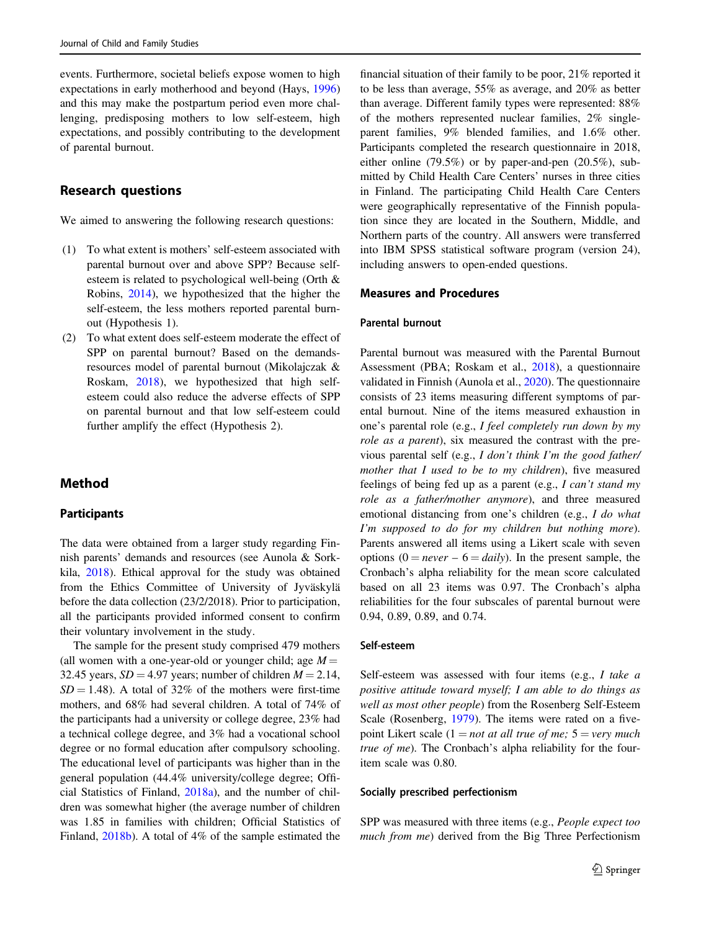events. Furthermore, societal beliefs expose women to high expectations in early motherhood and beyond (Hays, [1996\)](#page-6-0) and this may make the postpartum period even more challenging, predisposing mothers to low self-esteem, high expectations, and possibly contributing to the development of parental burnout.

# Research questions

We aimed to answering the following research questions:

- (1) To what extent is mothers' self-esteem associated with parental burnout over and above SPP? Because selfesteem is related to psychological well-being (Orth & Robins, [2014\)](#page-6-0), we hypothesized that the higher the self-esteem, the less mothers reported parental burnout (Hypothesis 1).
- (2) To what extent does self-esteem moderate the effect of SPP on parental burnout? Based on the demandsresources model of parental burnout (Mikolajczak & Roskam, [2018\)](#page-6-0), we hypothesized that high selfesteem could also reduce the adverse effects of SPP on parental burnout and that low self-esteem could further amplify the effect (Hypothesis 2).

# Method

### Participants

The data were obtained from a larger study regarding Finnish parents' demands and resources (see Aunola & Sorkkila, [2018](#page-6-0)). Ethical approval for the study was obtained from the Ethics Committee of University of Jyväskylä before the data collection (23/2/2018). Prior to participation, all the participants provided informed consent to confirm their voluntary involvement in the study.

The sample for the present study comprised 479 mothers (all women with a one-year-old or younger child; age  $M =$ 32.45 years,  $SD = 4.97$  years; number of children  $M = 2.14$ ,  $SD = 1.48$ ). A total of 32% of the mothers were first-time mothers, and 68% had several children. A total of 74% of the participants had a university or college degree, 23% had a technical college degree, and 3% had a vocational school degree or no formal education after compulsory schooling. The educational level of participants was higher than in the general population (44.4% university/college degree; Official Statistics of Finland, [2018a](#page-6-0)), and the number of children was somewhat higher (the average number of children was 1.85 in families with children; Official Statistics of Finland, [2018b\)](#page-6-0). A total of 4% of the sample estimated the

financial situation of their family to be poor, 21% reported it to be less than average, 55% as average, and 20% as better than average. Different family types were represented: 88% of the mothers represented nuclear families, 2% singleparent families, 9% blended families, and 1.6% other. Participants completed the research questionnaire in 2018, either online (79.5%) or by paper-and-pen (20.5%), submitted by Child Health Care Centers' nurses in three cities in Finland. The participating Child Health Care Centers were geographically representative of the Finnish population since they are located in the Southern, Middle, and Northern parts of the country. All answers were transferred into IBM SPSS statistical software program (version 24), including answers to open-ended questions.

#### Measures and Procedures

#### Parental burnout

Parental burnout was measured with the Parental Burnout Assessment (PBA; Roskam et al., [2018](#page-7-0)), a questionnaire validated in Finnish (Aunola et al., [2020](#page-6-0)). The questionnaire consists of 23 items measuring different symptoms of parental burnout. Nine of the items measured exhaustion in one's parental role (e.g., I feel completely run down by my role as a parent), six measured the contrast with the previous parental self (e.g., I don't think I'm the good father/ mother that I used to be to my children), five measured feelings of being fed up as a parent (e.g., I can't stand my role as a father/mother anymore), and three measured emotional distancing from one's children (e.g., I do what I'm supposed to do for my children but nothing more). Parents answered all items using a Likert scale with seven options  $(0 = never - 6 = daily)$ . In the present sample, the Cronbach's alpha reliability for the mean score calculated based on all 23 items was 0.97. The Cronbach's alpha reliabilities for the four subscales of parental burnout were 0.94, 0.89, 0.89, and 0.74.

#### Self-esteem

Self-esteem was assessed with four items (e.g., I take a positive attitude toward myself; I am able to do things as well as most other people) from the Rosenberg Self-Esteem Scale (Rosenberg, [1979](#page-7-0)). The items were rated on a fivepoint Likert scale  $(1 = not at all true of me; 5 = very much)$ true of me). The Cronbach's alpha reliability for the fouritem scale was 0.80.

#### Socially prescribed perfectionism

SPP was measured with three items (e.g., People expect too much from me) derived from the Big Three Perfectionism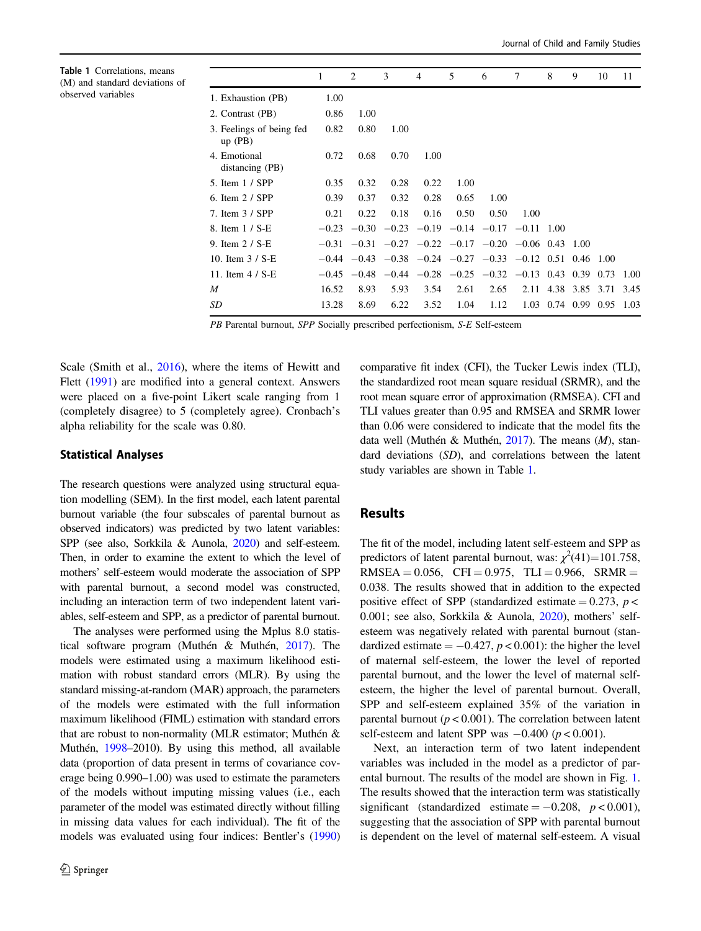Table 1 Correlations, means (M) and standard deviations of observed variables

|                                       | 1     | 2    | 3    | 4    | 5    | 6                                                                 | 7    | 8                | 9    | 10                  | 11   |
|---------------------------------------|-------|------|------|------|------|-------------------------------------------------------------------|------|------------------|------|---------------------|------|
| 1. Exhaustion (PB)                    | 1.00  |      |      |      |      |                                                                   |      |                  |      |                     |      |
| 2. Contrast (PB)                      | 0.86  | 1.00 |      |      |      |                                                                   |      |                  |      |                     |      |
| 3. Feelings of being fed<br>$up$ (PB) | 0.82  | 0.80 | 1.00 |      |      |                                                                   |      |                  |      |                     |      |
| 4. Emotional<br>distancing (PB)       | 0.72  | 0.68 | 0.70 | 1.00 |      |                                                                   |      |                  |      |                     |      |
| 5. Item 1 / SPP                       | 0.35  | 0.32 | 0.28 | 0.22 | 1.00 |                                                                   |      |                  |      |                     |      |
| 6. Item $2 /$ SPP                     | 0.39  | 0.37 | 0.32 | 0.28 | 0.65 | 1.00                                                              |      |                  |      |                     |      |
| 7. Item 3 / SPP                       | 0.21  | 0.22 | 0.18 | 0.16 | 0.50 | 0.50                                                              | 1.00 |                  |      |                     |      |
| 8. Item 1 / S-E                       |       |      |      |      |      | $-0.23$ $-0.30$ $-0.23$ $-0.19$ $-0.14$ $-0.17$ $-0.11$ 1.00      |      |                  |      |                     |      |
| 9. Item 2 / S-E                       |       |      |      |      |      | $-0.31$ $-0.31$ $-0.27$ $-0.22$ $-0.17$ $-0.20$ $-0.06$ 0.43      |      |                  | 1.00 |                     |      |
| 10. Item $3 / S-E$                    |       |      |      |      |      | $-0.44$ $-0.43$ $-0.38$ $-0.24$ $-0.27$ $-0.33$ $-0.12$ 0.51 0.46 |      |                  |      | 1.00                |      |
| 11. Item $4 / S-E$                    |       |      |      |      |      | $-0.45$ $-0.48$ $-0.44$ $-0.28$ $-0.25$ $-0.32$ $-0.13$ 0.43      |      |                  | 0.39 | 0.73                | 1.00 |
| M                                     | 16.52 | 8.93 | 5.93 | 3.54 | 2.61 | 2.65                                                              |      |                  |      | 2.11 4.38 3.85 3.71 | 3.45 |
| SD                                    | 13.28 | 8.69 | 6.22 | 3.52 | 1.04 | 1.12                                                              | 1.03 | $0.74$ 0.99 0.95 |      |                     | 1.03 |
|                                       |       |      |      |      |      |                                                                   |      |                  |      |                     |      |

PB Parental burnout, SPP Socially prescribed perfectionism, S-E Self-esteem

Scale (Smith et al., [2016\)](#page-7-0), where the items of Hewitt and Flett [\(1991](#page-6-0)) are modified into a general context. Answers were placed on a five-point Likert scale ranging from 1 (completely disagree) to 5 (completely agree). Cronbach's alpha reliability for the scale was 0.80.

#### Statistical Analyses

The research questions were analyzed using structural equation modelling (SEM). In the first model, each latent parental burnout variable (the four subscales of parental burnout as observed indicators) was predicted by two latent variables: SPP (see also, Sorkkila & Aunola, [2020](#page-7-0)) and self-esteem. Then, in order to examine the extent to which the level of mothers' self-esteem would moderate the association of SPP with parental burnout, a second model was constructed, including an interaction term of two independent latent variables, self-esteem and SPP, as a predictor of parental burnout.

The analyses were performed using the Mplus 8.0 statistical software program (Muthén & Muthén, [2017](#page-6-0)). The models were estimated using a maximum likelihood estimation with robust standard errors (MLR). By using the standard missing-at-random (MAR) approach, the parameters of the models were estimated with the full information maximum likelihood (FIML) estimation with standard errors that are robust to non-normality (MLR estimator; Muthén & Muthén, [1998](#page-6-0)–2010). By using this method, all available data (proportion of data present in terms of covariance coverage being 0.990–1.00) was used to estimate the parameters of the models without imputing missing values (i.e., each parameter of the model was estimated directly without filling in missing data values for each individual). The fit of the models was evaluated using four indices: Bentler's [\(1990\)](#page-6-0) comparative fit index (CFI), the Tucker Lewis index (TLI), the standardized root mean square residual (SRMR), and the root mean square error of approximation (RMSEA). CFI and TLI values greater than 0.95 and RMSEA and SRMR lower than 0.06 were considered to indicate that the model fits the data well (Muthén & Muthén, [2017](#page-6-0)). The means (M), standard deviations (SD), and correlations between the latent study variables are shown in Table 1.

## Results

The fit of the model, including latent self-esteem and SPP as predictors of latent parental burnout, was:  $\chi^2(41)=101.758$ ,  $RMSEA = 0.056$ ,  $CFI = 0.975$ ,  $TLI = 0.966$ ,  $SRMR =$ 0.038. The results showed that in addition to the expected positive effect of SPP (standardized estimate =  $0.273$ ,  $p$  < 0.001; see also, Sorkkila & Aunola, [2020](#page-7-0)), mothers' selfesteem was negatively related with parental burnout (standardized estimate  $= -0.427$ ,  $p < 0.001$ ): the higher the level of maternal self-esteem, the lower the level of reported parental burnout, and the lower the level of maternal selfesteem, the higher the level of parental burnout. Overall, SPP and self-esteem explained 35% of the variation in parental burnout ( $p < 0.001$ ). The correlation between latent self-esteem and latent SPP was  $-0.400$  ( $p < 0.001$ ).

Next, an interaction term of two latent independent variables was included in the model as a predictor of parental burnout. The results of the model are shown in Fig. [1.](#page-4-0) The results showed that the interaction term was statistically significant (standardized estimate =  $-0.208$ ,  $p < 0.001$ ), suggesting that the association of SPP with parental burnout is dependent on the level of maternal self-esteem. A visual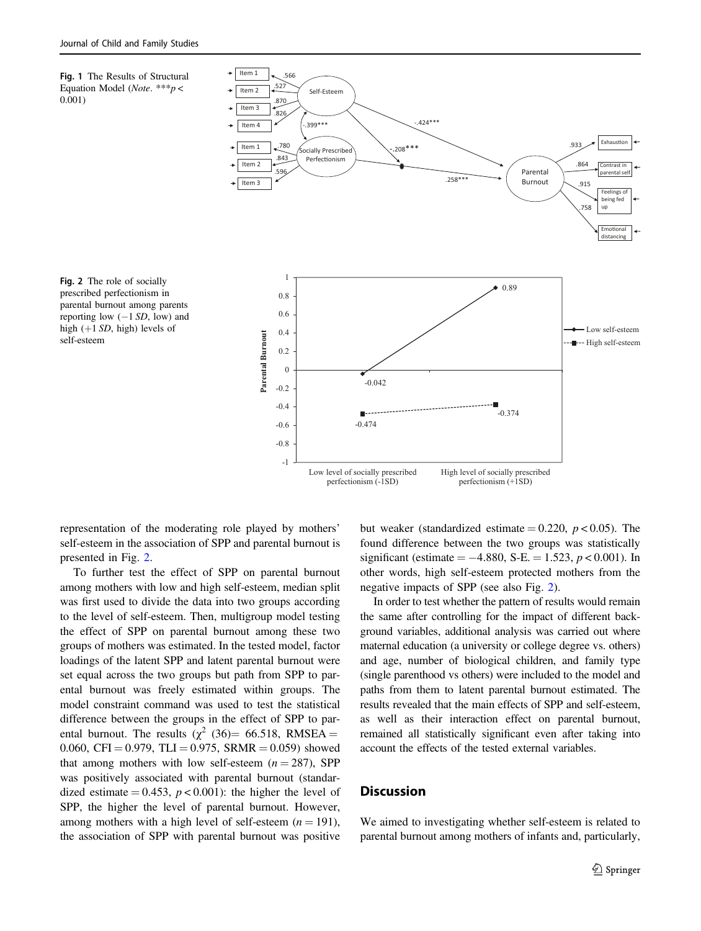<span id="page-4-0"></span>Fig. 1 The Results of Structural Equation Model (Note. \*\*\* $p$  < 0.001)



Fig. 2 The role of socially prescribed perfectionism in parental burnout among parents reporting low  $(-1 SD, low)$  and high  $(+1 SD, high)$  levels of self-esteem

representation of the moderating role played by mothers' self-esteem in the association of SPP and parental burnout is presented in Fig. 2.

To further test the effect of SPP on parental burnout among mothers with low and high self-esteem, median split was first used to divide the data into two groups according to the level of self-esteem. Then, multigroup model testing the effect of SPP on parental burnout among these two groups of mothers was estimated. In the tested model, factor loadings of the latent SPP and latent parental burnout were set equal across the two groups but path from SPP to parental burnout was freely estimated within groups. The model constraint command was used to test the statistical difference between the groups in the effect of SPP to parental burnout. The results ( $\chi^2$  (36)= 66.518, RMSEA = 0.060, CFI = 0.979, TLI = 0.975, SRMR = 0.059) showed that among mothers with low self-esteem  $(n = 287)$ , SPP was positively associated with parental burnout (standardized estimate = 0.453,  $p < 0.001$ ): the higher the level of SPP, the higher the level of parental burnout. However, among mothers with a high level of self-esteem  $(n = 191)$ , the association of SPP with parental burnout was positive but weaker (standardized estimate  $= 0.220, p < 0.05$ ). The found difference between the two groups was statistically significant (estimate =  $-4.880$ , S-E. = 1.523,  $p < 0.001$ ). In other words, high self-esteem protected mothers from the negative impacts of SPP (see also Fig. 2).

In order to test whether the pattern of results would remain the same after controlling for the impact of different background variables, additional analysis was carried out where maternal education (a university or college degree vs. others) and age, number of biological children, and family type (single parenthood vs others) were included to the model and paths from them to latent parental burnout estimated. The results revealed that the main effects of SPP and self-esteem, as well as their interaction effect on parental burnout, remained all statistically significant even after taking into account the effects of the tested external variables.

# **Discussion**

We aimed to investigating whether self-esteem is related to parental burnout among mothers of infants and, particularly,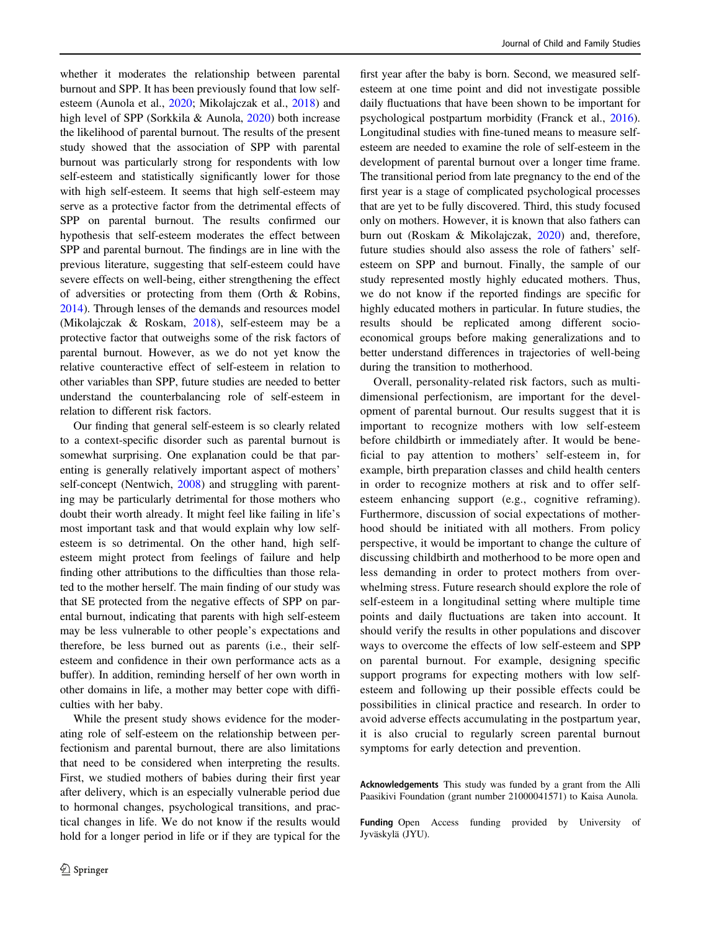whether it moderates the relationship between parental burnout and SPP. It has been previously found that low selfesteem (Aunola et al., [2020](#page-6-0); Mikolajczak et al., [2018](#page-6-0)) and high level of SPP (Sorkkila & Aunola, [2020\)](#page-7-0) both increase the likelihood of parental burnout. The results of the present study showed that the association of SPP with parental burnout was particularly strong for respondents with low self-esteem and statistically significantly lower for those with high self-esteem. It seems that high self-esteem may serve as a protective factor from the detrimental effects of SPP on parental burnout. The results confirmed our hypothesis that self-esteem moderates the effect between SPP and parental burnout. The findings are in line with the previous literature, suggesting that self-esteem could have severe effects on well-being, either strengthening the effect of adversities or protecting from them (Orth & Robins, [2014\)](#page-6-0). Through lenses of the demands and resources model (Mikolajczak & Roskam, [2018](#page-6-0)), self-esteem may be a protective factor that outweighs some of the risk factors of parental burnout. However, as we do not yet know the relative counteractive effect of self-esteem in relation to other variables than SPP, future studies are needed to better understand the counterbalancing role of self-esteem in relation to different risk factors.

Our finding that general self-esteem is so clearly related to a context-specific disorder such as parental burnout is somewhat surprising. One explanation could be that parenting is generally relatively important aspect of mothers' self-concept (Nentwich, [2008\)](#page-6-0) and struggling with parenting may be particularly detrimental for those mothers who doubt their worth already. It might feel like failing in life's most important task and that would explain why low selfesteem is so detrimental. On the other hand, high selfesteem might protect from feelings of failure and help finding other attributions to the difficulties than those related to the mother herself. The main finding of our study was that SE protected from the negative effects of SPP on parental burnout, indicating that parents with high self-esteem may be less vulnerable to other people's expectations and therefore, be less burned out as parents (i.e., their selfesteem and confidence in their own performance acts as a buffer). In addition, reminding herself of her own worth in other domains in life, a mother may better cope with difficulties with her baby.

While the present study shows evidence for the moderating role of self-esteem on the relationship between perfectionism and parental burnout, there are also limitations that need to be considered when interpreting the results. First, we studied mothers of babies during their first year after delivery, which is an especially vulnerable period due to hormonal changes, psychological transitions, and practical changes in life. We do not know if the results would hold for a longer period in life or if they are typical for the

first year after the baby is born. Second, we measured selfesteem at one time point and did not investigate possible daily fluctuations that have been shown to be important for psychological postpartum morbidity (Franck et al., [2016\)](#page-6-0). Longitudinal studies with fine-tuned means to measure selfesteem are needed to examine the role of self-esteem in the development of parental burnout over a longer time frame. The transitional period from late pregnancy to the end of the first year is a stage of complicated psychological processes that are yet to be fully discovered. Third, this study focused only on mothers. However, it is known that also fathers can burn out (Roskam & Mikolajczak, [2020\)](#page-7-0) and, therefore, future studies should also assess the role of fathers' selfesteem on SPP and burnout. Finally, the sample of our study represented mostly highly educated mothers. Thus, we do not know if the reported findings are specific for highly educated mothers in particular. In future studies, the results should be replicated among different socioeconomical groups before making generalizations and to better understand differences in trajectories of well-being during the transition to motherhood.

Overall, personality-related risk factors, such as multidimensional perfectionism, are important for the development of parental burnout. Our results suggest that it is important to recognize mothers with low self-esteem before childbirth or immediately after. It would be beneficial to pay attention to mothers' self-esteem in, for example, birth preparation classes and child health centers in order to recognize mothers at risk and to offer selfesteem enhancing support (e.g., cognitive reframing). Furthermore, discussion of social expectations of motherhood should be initiated with all mothers. From policy perspective, it would be important to change the culture of discussing childbirth and motherhood to be more open and less demanding in order to protect mothers from overwhelming stress. Future research should explore the role of self-esteem in a longitudinal setting where multiple time points and daily fluctuations are taken into account. It should verify the results in other populations and discover ways to overcome the effects of low self-esteem and SPP on parental burnout. For example, designing specific support programs for expecting mothers with low selfesteem and following up their possible effects could be possibilities in clinical practice and research. In order to avoid adverse effects accumulating in the postpartum year, it is also crucial to regularly screen parental burnout symptoms for early detection and prevention.

Acknowledgements This study was funded by a grant from the Alli Paasikivi Foundation (grant number 21000041571) to Kaisa Aunola.

Funding Open Access funding provided by University of Jyväskylä (JYU).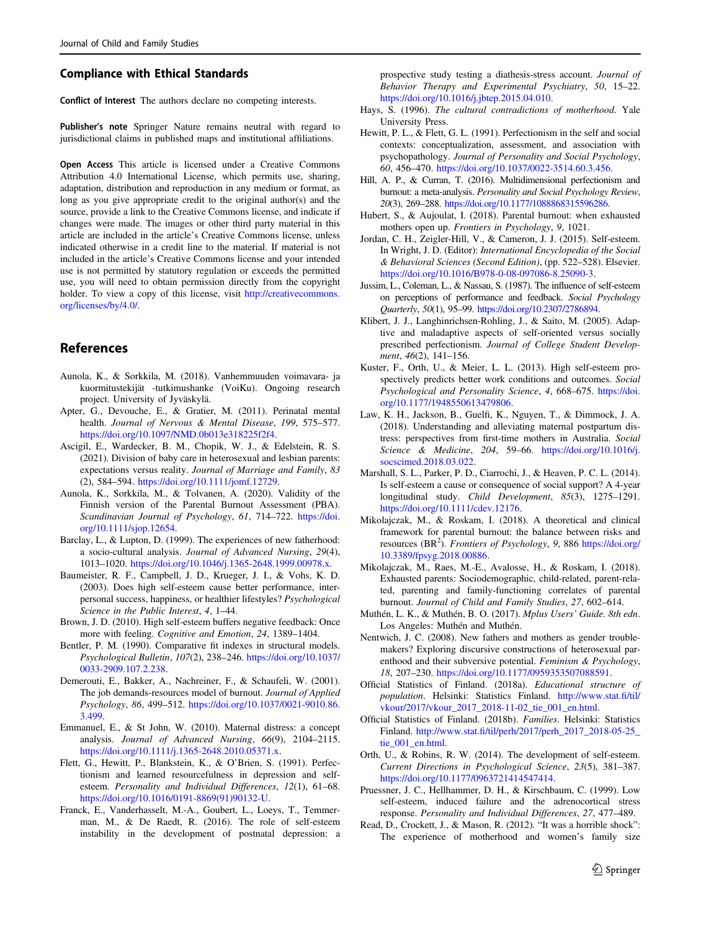#### <span id="page-6-0"></span>Compliance with Ethical Standards

Conflict of Interest The authors declare no competing interests.

Publisher's note Springer Nature remains neutral with regard to jurisdictional claims in published maps and institutional affiliations.

Open Access This article is licensed under a Creative Commons Attribution 4.0 International License, which permits use, sharing, adaptation, distribution and reproduction in any medium or format, as long as you give appropriate credit to the original author(s) and the source, provide a link to the Creative Commons license, and indicate if changes were made. The images or other third party material in this article are included in the article's Creative Commons license, unless indicated otherwise in a credit line to the material. If material is not included in the article's Creative Commons license and your intended use is not permitted by statutory regulation or exceeds the permitted use, you will need to obtain permission directly from the copyright holder. To view a copy of this license, visit [http://creativecommons.](http://creativecommons.org/licenses/by/4.0/) [org/licenses/by/4.0/.](http://creativecommons.org/licenses/by/4.0/)

# References

- Aunola, K., & Sorkkila, M. (2018). Vanhemmuuden voimavara- ja kuormitustekijät -tutkimushanke (VoiKu). Ongoing research project. University of Jyväskylä.
- Apter, G., Devouche, E., & Gratier, M. (2011). Perinatal mental health. Journal of Nervous & Mental Disease, 199, 575–577. <https://doi.org/10.1097/NMD.0b013e318225f2f4>.
- Ascigil, E., Wardecker, B. M., Chopik, W. J., & Edelstein, R. S. (2021). Division of baby care in heterosexual and lesbian parents: expectations versus reality. Journal of Marriage and Family, 83 (2), 584–594. [https://doi.org/10.1111/jomf.12729.](https://doi.org/10.1111/jomf.12729)
- Aunola, K., Sorkkila, M., & Tolvanen, A. (2020). Validity of the Finnish version of the Parental Burnout Assessment (PBA). Scandinavian Journal of Psychology, 61, 714-722. [https://doi.](https://doi.org/10.1111/sjop.12654) [org/10.1111/sjop.12654.](https://doi.org/10.1111/sjop.12654)
- Barclay, L., & Lupton, D. (1999). The experiences of new fatherhood: a socio-cultural analysis. Journal of Advanced Nursing, 29(4), 1013–1020. <https://doi.org/10.1046/j.1365-2648.1999.00978.x>.
- Baumeister, R. F., Campbell, J. D., Krueger, J. I., & Vohs, K. D. (2003). Does high self-esteem cause better performance, interpersonal success, happiness, or healthier lifestyles? Psychological Science in the Public Interest, 4, 1–44.
- Brown, J. D. (2010). High self-esteem buffers negative feedback: Once more with feeling. Cognitive and Emotion, 24, 1389–1404.
- Bentler, P. M. (1990). Comparative fit indexes in structural models. Psychological Bulletin, 107(2), 238–246. [https://doi.org/10.1037/](https://doi.org/10.1037/0033-2909.107.2.238) [0033-2909.107.2.238.](https://doi.org/10.1037/0033-2909.107.2.238)
- Demerouti, E., Bakker, A., Nachreiner, F., & Schaufeli, W. (2001). The job demands-resources model of burnout. Journal of Applied Psychology, 86, 499–512. [https://doi.org/10.1037/0021-9010.86.](https://doi.org/10.1037/0021-9010.86.3.499) [3.499](https://doi.org/10.1037/0021-9010.86.3.499).
- Emmanuel, E., & St John, W. (2010). Maternal distress: a concept analysis. Journal of Advanced Nursing, 66(9), 2104–2115. <https://doi.org/10.1111/j.1365-2648.2010.05371.x>.
- Flett, G., Hewitt, P., Blankstein, K., & O'Brien, S. (1991). Perfectionism and learned resourcefulness in depression and selfesteem. Personality and Individual Differences, 12(1), 61-68. [https://doi.org/10.1016/0191-8869\(91\)90132-U.](https://doi.org/10.1016/0191-8869(91)90132-U)
- Franck, E., Vanderhasselt, M.-A., Goubert, L., Loeys, T., Temmerman, M., & De Raedt, R. (2016). The role of self-esteem instability in the development of postnatal depression: a

prospective study testing a diathesis-stress account. Journal of Behavior Therapy and Experimental Psychiatry, 50, 15–22. <https://doi.org/10.1016/j.jbtep.2015.04.010>.

- Hays, S. (1996). The cultural contradictions of motherhood. Yale University Press.
- Hewitt, P. L., & Flett, G. L. (1991). Perfectionism in the self and social contexts: conceptualization, assessment, and association with psychopathology. Journal of Personality and Social Psychology, 60, 456–470. [https://doi.org/10.1037/0022-3514.60.3.456.](https://doi.org/10.1037/0022-3514.60.3.456)
- Hill, A. P., & Curran, T. (2016). Multidimensional perfectionism and burnout: a meta-analysis. Personality and Social Psychology Review, 20(3), 269–288. [https://doi.org/10.1177/1088868315596286.](https://doi.org/10.1177/1088868315596286)
- Hubert, S., & Aujoulat, I. (2018). Parental burnout: when exhausted mothers open up. Frontiers in Psychology, 9, 1021.
- Jordan, C. H., Zeigler-Hill, V., & Cameron, J. J. (2015). Self-esteem. In Wright, J. D. (Editor): International Encyclopedia of the Social & Behavioral Sciences (Second Edition), (pp. 522–528). Elsevier. <https://doi.org/10.1016/B978-0-08-097086-8.25090-3>.
- Jussim, L., Coleman, L., & Nassau, S. (1987). The influence of self-esteem on perceptions of performance and feedback. Social Psychology Quarterly, 50(1), 95–99. <https://doi.org/10.2307/2786894>.
- Klibert, J. J., Langhinrichsen-Rohling, J., & Saito, M. (2005). Adaptive and maladaptive aspects of self-oriented versus socially prescribed perfectionism. Journal of College Student Development, 46(2), 141–156.
- Kuster, F., Orth, U., & Meier, L. L. (2013). High self-esteem prospectively predicts better work conditions and outcomes. Social Psychological and Personality Science, 4, 668–675. [https://doi.](https://doi.org/10.1177/1948550613479806) [org/10.1177/1948550613479806](https://doi.org/10.1177/1948550613479806).
- Law, K. H., Jackson, B., Guelfi, K., Nguyen, T., & Dimmock, J. A. (2018). Understanding and alleviating maternal postpartum distress: perspectives from first-time mothers in Australia. Social Science & Medicine, 204, 59–66. [https://doi.org/10.1016/j.](https://doi.org/10.1016/j.socscimed.2018.03.022) [socscimed.2018.03.022.](https://doi.org/10.1016/j.socscimed.2018.03.022)
- Marshall, S. L., Parker, P. D., Ciarrochi, J., & Heaven, P. C. L. (2014). Is self-esteem a cause or consequence of social support? A 4-year longitudinal study. Child Development, 85(3), 1275–1291. [https://doi.org/10.1111/cdev.12176.](https://doi.org/10.1111/cdev.12176)
- Mikolajczak, M., & Roskam, I. (2018). A theoretical and clinical framework for parental burnout: the balance between risks and resources (BR<sup>2</sup>). Frontiers of Psychology, 9, 886 [https://doi.org/](https://doi.org/10.3389/fpsyg.2018.00886) [10.3389/fpsyg.2018.00886](https://doi.org/10.3389/fpsyg.2018.00886).
- Mikolajczak, M., Raes, M.-E., Avalosse, H., & Roskam, I. (2018). Exhausted parents: Sociodemographic, child-related, parent-related, parenting and family-functioning correlates of parental burnout. Journal of Child and Family Studies, 27, 602–614.
- Muthén, L. K., & Muthén, B. O. (2017). Mplus Users' Guide. 8th edn. Los Angeles: Muthén and Muthén.
- Nentwich, J. C. (2008). New fathers and mothers as gender troublemakers? Exploring discursive constructions of heterosexual parenthood and their subversive potential. Feminism & Psychology, 18, 207–230. <https://doi.org/10.1177/0959353507088591>.
- Official Statistics of Finland. (2018a). Educational structure of population. Helsinki: Statistics Finland. [http://www.stat.](http://www.stat.fi/til/vkour/2017/vkour_2017_2018-11-02_tie_001_en.html)fi/til/ [vkour/2017/vkour\\_2017\\_2018-11-02\\_tie\\_001\\_en.html.](http://www.stat.fi/til/vkour/2017/vkour_2017_2018-11-02_tie_001_en.html)
- Official Statistics of Finland. (2018b). Families. Helsinki: Statistics Finland. http://www.stat.fi[/til/perh/2017/perh\\_2017\\_2018-05-25\\_](http://www.stat.fi/til/perh/2017/perh_2017_2018-05-25_tie_001_en.html) [tie\\_001\\_en.html](http://www.stat.fi/til/perh/2017/perh_2017_2018-05-25_tie_001_en.html).
- Orth, U., & Robins, R. W. (2014). The development of self-esteem. Current Directions in Psychological Science, 23(5), 381–387. <https://doi.org/10.1177/0963721414547414>.
- Pruessner, J. C., Hellhammer, D. H., & Kirschbaum, C. (1999). Low self-esteem, induced failure and the adrenocortical stress response. Personality and Individual Differences, 27, 477–489.
- Read, D., Crockett, J., & Mason, R. (2012). "It was a horrible shock": The experience of motherhood and women's family size